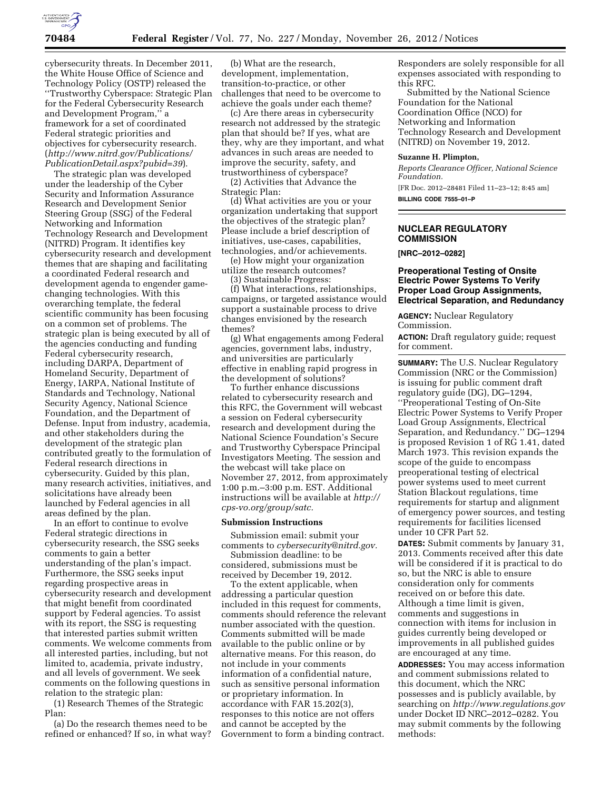

cybersecurity threats. In December 2011, the White House Office of Science and Technology Policy (OSTP) released the ''Trustworthy Cyberspace: Strategic Plan for the Federal Cybersecurity Research and Development Program,'' a framework for a set of coordinated Federal strategic priorities and objectives for cybersecurity research. (*[http://www.nitrd.gov/Publications/](http://www.nitrd.gov/Publications/PublicationDetail.aspx?pubid=39) [PublicationDetail.aspx?pubid=39](http://www.nitrd.gov/Publications/PublicationDetail.aspx?pubid=39)*).

The strategic plan was developed under the leadership of the Cyber Security and Information Assurance Research and Development Senior Steering Group (SSG) of the Federal Networking and Information Technology Research and Development (NITRD) Program. It identifies key cybersecurity research and development themes that are shaping and facilitating a coordinated Federal research and development agenda to engender gamechanging technologies. With this overarching template, the federal scientific community has been focusing on a common set of problems. The strategic plan is being executed by all of the agencies conducting and funding Federal cybersecurity research, including DARPA, Department of Homeland Security, Department of Energy, IARPA, National Institute of Standards and Technology, National Security Agency, National Science Foundation, and the Department of Defense. Input from industry, academia, and other stakeholders during the development of the strategic plan contributed greatly to the formulation of Federal research directions in cybersecurity. Guided by this plan, many research activities, initiatives, and solicitations have already been launched by Federal agencies in all areas defined by the plan.

In an effort to continue to evolve Federal strategic directions in cybersecurity research, the SSG seeks comments to gain a better understanding of the plan's impact. Furthermore, the SSG seeks input regarding prospective areas in cybersecurity research and development that might benefit from coordinated support by Federal agencies. To assist with its report, the SSG is requesting that interested parties submit written comments. We welcome comments from all interested parties, including, but not limited to, academia, private industry, and all levels of government. We seek comments on the following questions in relation to the strategic plan:

(1) Research Themes of the Strategic Plan:

(a) Do the research themes need to be refined or enhanced? If so, in what way?

(b) What are the research, development, implementation, transition-to-practice, or other challenges that need to be overcome to achieve the goals under each theme?

(c) Are there areas in cybersecurity research not addressed by the strategic plan that should be? If yes, what are they, why are they important, and what advances in such areas are needed to improve the security, safety, and trustworthiness of cyberspace?

(2) Activities that Advance the Strategic Plan:

(d) What activities are you or your organization undertaking that support the objectives of the strategic plan? Please include a brief description of initiatives, use-cases, capabilities, technologies, and/or achievements.

(e) How might your organization utilize the research outcomes?

(3) Sustainable Progress:

(f) What interactions, relationships, campaigns, or targeted assistance would support a sustainable process to drive changes envisioned by the research themes?

(g) What engagements among Federal agencies, government labs, industry, and universities are particularly effective in enabling rapid progress in the development of solutions?

To further enhance discussions related to cybersecurity research and this RFC, the Government will webcast a session on Federal cybersecurity research and development during the National Science Foundation's Secure and Trustworthy Cyberspace Principal Investigators Meeting. The session and the webcast will take place on November 27, 2012, from approximately 1:00 p.m.–3:00 p.m. EST. Additional instructions will be available at *[http://](http://cps-vo.org/group/satc)  [cps-vo.org/group/satc.](http://cps-vo.org/group/satc)* 

# **Submission Instructions**

Submission email: submit your comments to *[cybersecurity@nitrd.gov.](mailto:cybersecurity@nitrd.gov)* 

Submission deadline: to be considered, submissions must be received by December 19, 2012.

To the extent applicable, when addressing a particular question included in this request for comments, comments should reference the relevant number associated with the question. Comments submitted will be made available to the public online or by alternative means. For this reason, do not include in your comments information of a confidential nature, such as sensitive personal information or proprietary information. In accordance with FAR 15.202(3), responses to this notice are not offers and cannot be accepted by the Government to form a binding contract.

Responders are solely responsible for all expenses associated with responding to this RFC.

Submitted by the National Science Foundation for the National Coordination Office (NCO) for Networking and Information Technology Research and Development (NITRD) on November 19, 2012.

# **Suzanne H. Plimpton,**

*Reports Clearance Officer, National Science Foundation.*  [FR Doc. 2012–28481 Filed 11–23–12; 8:45 am]

**BILLING CODE 7555–01–P** 

# **NUCLEAR REGULATORY COMMISSION**

**[NRC–2012–0282]** 

# **Preoperational Testing of Onsite Electric Power Systems To Verify Proper Load Group Assignments, Electrical Separation, and Redundancy**

**AGENCY:** Nuclear Regulatory Commission.

**ACTION:** Draft regulatory guide; request for comment.

**SUMMARY:** The U.S. Nuclear Regulatory Commission (NRC or the Commission) is issuing for public comment draft regulatory guide (DG), DG–1294, ''Preoperational Testing of On-Site Electric Power Systems to Verify Proper Load Group Assignments, Electrical Separation, and Redundancy.'' DG–1294 is proposed Revision 1 of RG 1.41, dated March 1973. This revision expands the scope of the guide to encompass preoperational testing of electrical power systems used to meet current Station Blackout regulations, time requirements for startup and alignment of emergency power sources, and testing requirements for facilities licensed under 10 CFR Part 52.

**DATES:** Submit comments by January 31, 2013. Comments received after this date will be considered if it is practical to do so, but the NRC is able to ensure consideration only for comments received on or before this date. Although a time limit is given, comments and suggestions in connection with items for inclusion in guides currently being developed or improvements in all published guides are encouraged at any time.

**ADDRESSES:** You may access information and comment submissions related to this document, which the NRC possesses and is publicly available, by searching on *<http://www.regulations.gov>*  under Docket ID NRC–2012–0282. You may submit comments by the following methods: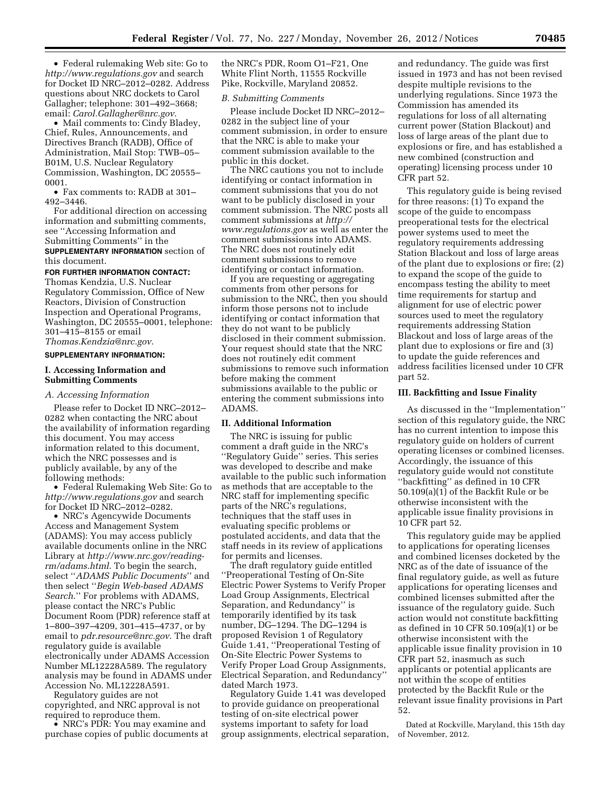• Federal rulemaking Web site: Go to *<http://www.regulations.gov>* and search for Docket ID NRC–2012–0282. Address questions about NRC dockets to Carol Gallagher; telephone: 301–492–3668; email: *[Carol.Gallagher@nrc.gov](mailto:Carol.Gallagher@nrc.gov)*.

• Mail comments to: Cindy Bladey, Chief, Rules, Announcements, and Directives Branch (RADB), Office of Administration, Mail Stop: TWB–05– B01M, U.S. Nuclear Regulatory Commission, Washington, DC 20555– 0001.

• Fax comments to: RADB at 301– 492–3446.

For additional direction on accessing information and submitting comments, see ''Accessing Information and Submitting Comments'' in the **SUPPLEMENTARY INFORMATION** section of this document.

## **FOR FURTHER INFORMATION CONTACT:**

Thomas Kendzia, U.S. Nuclear Regulatory Commission, Office of New Reactors, Division of Construction Inspection and Operational Programs, Washington, DC 20555–0001, telephone: 301–415–8155 or email *[Thomas.Kendzia@nrc.gov](mailto:Thomas.Kendzia@nrc.gov)*.

# **SUPPLEMENTARY INFORMATION:**

## **I. Accessing Information and Submitting Comments**

### *A. Accessing Information*

Please refer to Docket ID NRC–2012– 0282 when contacting the NRC about the availability of information regarding this document. You may access information related to this document, which the NRC possesses and is publicly available, by any of the following methods:

• Federal Rulemaking Web Site: Go to *<http://www.regulations.gov>* and search for Docket ID NRC–2012–0282.

• NRC's Agencywide Documents Access and Management System (ADAMS): You may access publicly available documents online in the NRC Library at *[http://www.nrc.gov/reading](http://www.nrc.gov/reading-rm/adams.html)[rm/adams.html](http://www.nrc.gov/reading-rm/adams.html)*. To begin the search, select ''*ADAMS Public Documents*'' and then select ''*Begin Web-based ADAMS Search*.'' For problems with ADAMS, please contact the NRC's Public Document Room (PDR) reference staff at 1–800–397–4209, 301–415–4737, or by email to *[pdr.resource@nrc.gov](mailto:pdr.resource@nrc.gov)*. The draft regulatory guide is available electronically under ADAMS Accession Number ML12228A589. The regulatory analysis may be found in ADAMS under Accession No. ML12228A591.

Regulatory guides are not copyrighted, and NRC approval is not required to reproduce them.

• NRC's PDR: You may examine and purchase copies of public documents at

the NRC's PDR, Room O1–F21, One White Flint North, 11555 Rockville Pike, Rockville, Maryland 20852.

### *B. Submitting Comments*

Please include Docket ID NRC–2012– 0282 in the subject line of your comment submission, in order to ensure that the NRC is able to make your comment submission available to the public in this docket.

The NRC cautions you not to include identifying or contact information in comment submissions that you do not want to be publicly disclosed in your comment submission. The NRC posts all comment submissions at *[http://](http://www.regulations.gov)  [www.regulations.gov](http://www.regulations.gov)* as well as enter the comment submissions into ADAMS. The NRC does not routinely edit comment submissions to remove identifying or contact information.

If you are requesting or aggregating comments from other persons for submission to the NRC, then you should inform those persons not to include identifying or contact information that they do not want to be publicly disclosed in their comment submission. Your request should state that the NRC does not routinely edit comment submissions to remove such information before making the comment submissions available to the public or entering the comment submissions into ADAMS.

#### **II. Additional Information**

The NRC is issuing for public comment a draft guide in the NRC's ''Regulatory Guide'' series. This series was developed to describe and make available to the public such information as methods that are acceptable to the NRC staff for implementing specific parts of the NRC's regulations, techniques that the staff uses in evaluating specific problems or postulated accidents, and data that the staff needs in its review of applications for permits and licenses.

The draft regulatory guide entitled ''Preoperational Testing of On-Site Electric Power Systems to Verify Proper Load Group Assignments, Electrical Separation, and Redundancy'' is temporarily identified by its task number, DG–1294. The DG–1294 is proposed Revision 1 of Regulatory Guide 1.41, ''Preoperational Testing of On-Site Electric Power Systems to Verify Proper Load Group Assignments, Electrical Separation, and Redundancy'' dated March 1973.

Regulatory Guide 1.41 was developed to provide guidance on preoperational testing of on-site electrical power systems important to safety for load group assignments, electrical separation,

and redundancy. The guide was first issued in 1973 and has not been revised despite multiple revisions to the underlying regulations. Since 1973 the Commission has amended its regulations for loss of all alternating current power (Station Blackout) and loss of large areas of the plant due to explosions or fire, and has established a new combined (construction and operating) licensing process under 10 CFR part 52.

This regulatory guide is being revised for three reasons: (1) To expand the scope of the guide to encompass preoperational tests for the electrical power systems used to meet the regulatory requirements addressing Station Blackout and loss of large areas of the plant due to explosions or fire; (2) to expand the scope of the guide to encompass testing the ability to meet time requirements for startup and alignment for use of electric power sources used to meet the regulatory requirements addressing Station Blackout and loss of large areas of the plant due to explosions or fire and (3) to update the guide references and address facilities licensed under 10 CFR part 52.

# **III. Backfitting and Issue Finality**

As discussed in the ''Implementation'' section of this regulatory guide, the NRC has no current intention to impose this regulatory guide on holders of current operating licenses or combined licenses. Accordingly, the issuance of this regulatory guide would not constitute ''backfitting'' as defined in 10 CFR 50.109(a)(1) of the Backfit Rule or be otherwise inconsistent with the applicable issue finality provisions in 10 CFR part 52.

This regulatory guide may be applied to applications for operating licenses and combined licenses docketed by the NRC as of the date of issuance of the final regulatory guide, as well as future applications for operating licenses and combined licenses submitted after the issuance of the regulatory guide. Such action would not constitute backfitting as defined in 10 CFR 50.109(a)(1) or be otherwise inconsistent with the applicable issue finality provision in 10 CFR part 52, inasmuch as such applicants or potential applicants are not within the scope of entities protected by the Backfit Rule or the relevant issue finality provisions in Part 52.

Dated at Rockville, Maryland, this 15th day of November, 2012.